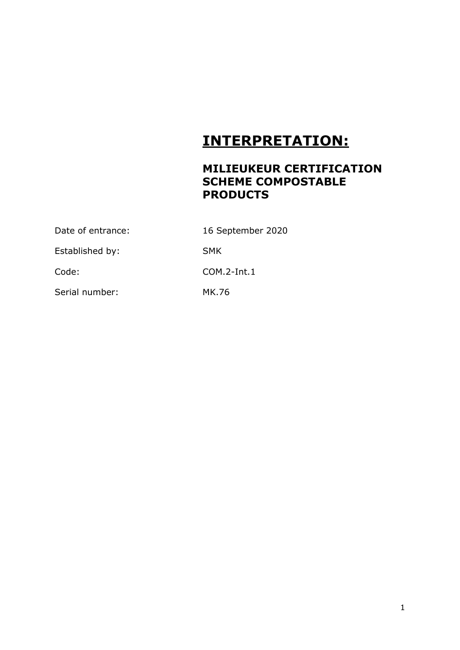## **INTERPRETATION:**

## **MILIEUKEUR CERTIFICATION SCHEME COMPOSTABLE PRODUCTS**

| Date of entrance: | 16 September 2020 |
|-------------------|-------------------|
| Established by:   | <b>SMK</b>        |
| Code:             | $COM.2$ -Int.1    |
| Serial number:    | MK.76             |